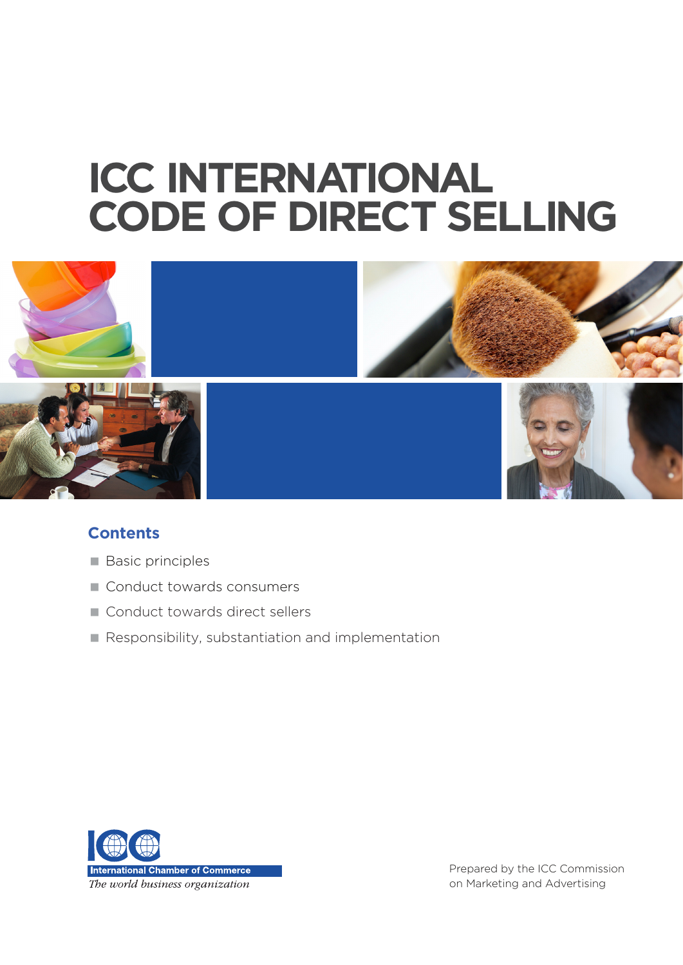# **ICC INTERNATIONAL CODE OF DIRECT SELLING**



# **Contents**

- **Basic principles**
- Conduct towards consumers
- Conduct towards direct sellers
- Responsibility, substantiation and implementation



Prepared by the ICC Commission on Marketing and Advertising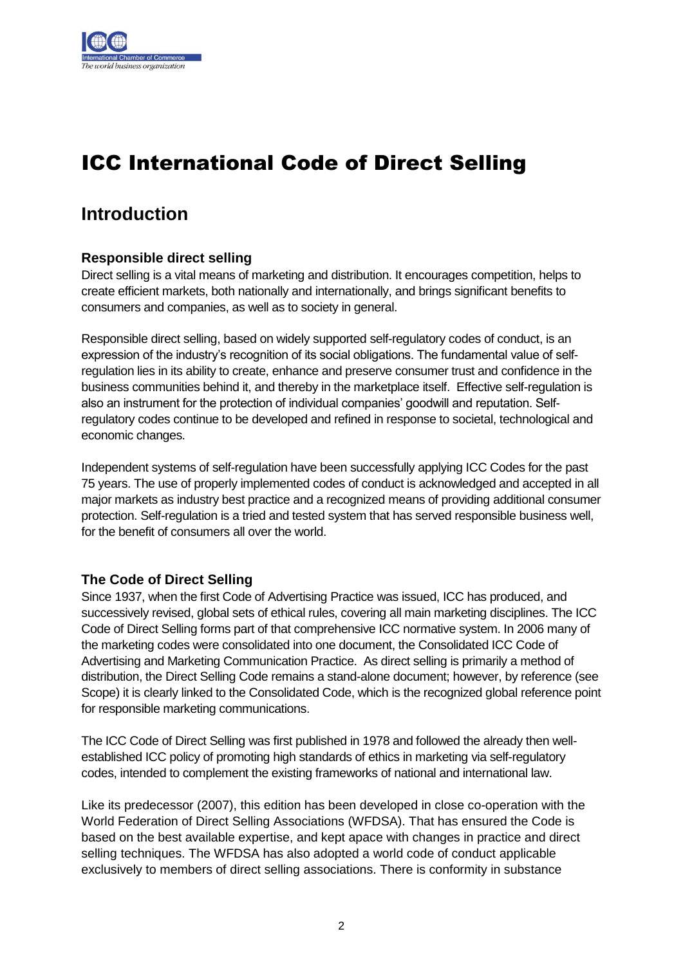

# ICC International Code of Direct Selling

# **Introduction**

#### **Responsible direct selling**

Direct selling is a vital means of marketing and distribution. It encourages competition, helps to create efficient markets, both nationally and internationally, and brings significant benefits to consumers and companies, as well as to society in general.

Responsible direct selling, based on widely supported self-regulatory codes of conduct, is an expression of the industry's recognition of its social obligations. The fundamental value of selfregulation lies in its ability to create, enhance and preserve consumer trust and confidence in the business communities behind it, and thereby in the marketplace itself. Effective self-regulation is also an instrument for the protection of individual companies' goodwill and reputation. Selfregulatory codes continue to be developed and refined in response to societal, technological and economic changes.

Independent systems of self-regulation have been successfully applying ICC Codes for the past 75 years. The use of properly implemented codes of conduct is acknowledged and accepted in all major markets as industry best practice and a recognized means of providing additional consumer protection. Self-regulation is a tried and tested system that has served responsible business well, for the benefit of consumers all over the world.

#### **The Code of Direct Selling**

Since 1937, when the first Code of Advertising Practice was issued, ICC has produced, and successively revised, global sets of ethical rules, covering all main marketing disciplines. The ICC Code of Direct Selling forms part of that comprehensive ICC normative system. In 2006 many of the marketing codes were consolidated into one document, the Consolidated ICC Code of Advertising and Marketing Communication Practice. As direct selling is primarily a method of distribution, the Direct Selling Code remains a stand-alone document; however, by reference (see Scope) it is clearly linked to the Consolidated Code, which is the recognized global reference point for responsible marketing communications.

The ICC Code of Direct Selling was first published in 1978 and followed the already then wellestablished ICC policy of promoting high standards of ethics in marketing via self-regulatory codes, intended to complement the existing frameworks of national and international law.

Like its predecessor (2007), this edition has been developed in close co-operation with the World Federation of Direct Selling Associations (WFDSA). That has ensured the Code is based on the best available expertise, and kept apace with changes in practice and direct selling techniques. The WFDSA has also adopted a world code of conduct applicable exclusively to members of direct selling associations. There is conformity in substance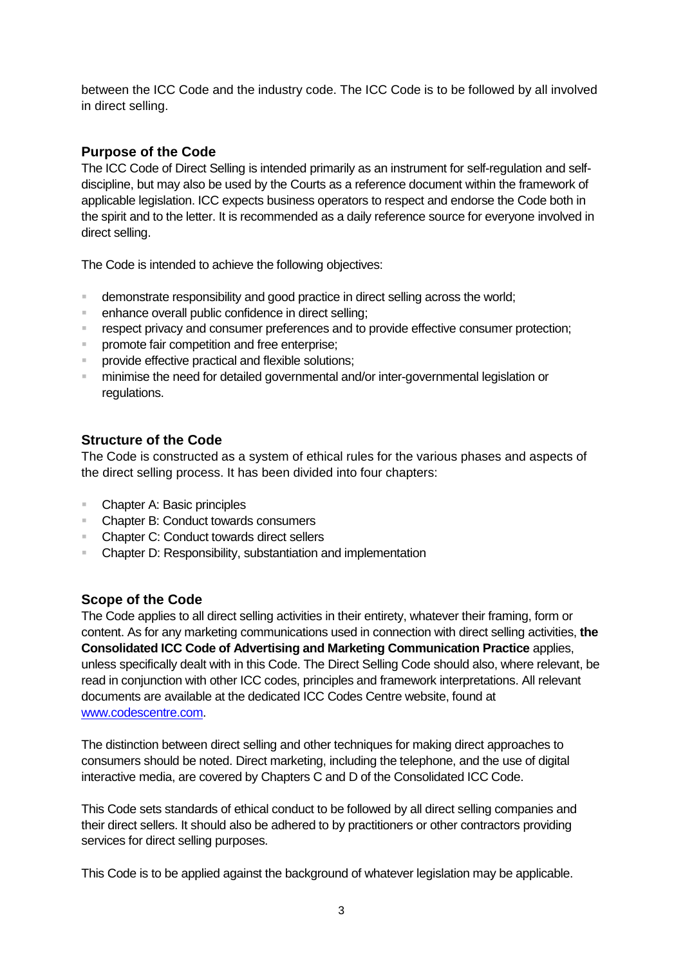between the ICC Code and the industry code. The ICC Code is to be followed by all involved in direct selling.

#### **Purpose of the Code**

The ICC Code of Direct Selling is intended primarily as an instrument for self-regulation and selfdiscipline, but may also be used by the Courts as a reference document within the framework of applicable legislation. ICC expects business operators to respect and endorse the Code both in the spirit and to the letter. It is recommended as a daily reference source for everyone involved in direct selling.

The Code is intended to achieve the following objectives:

- demonstrate responsibility and good practice in direct selling across the world;
- enhance overall public confidence in direct selling;
- **F** respect privacy and consumer preferences and to provide effective consumer protection;
- promote fair competition and free enterprise;
- provide effective practical and flexible solutions;
- minimise the need for detailed governmental and/or inter-governmental legislation or regulations.

#### **Structure of the Code**

The Code is constructed as a system of ethical rules for the various phases and aspects of the direct selling process. It has been divided into four chapters:

- Chapter A: Basic principles
- Chapter B: Conduct towards consumers
- Chapter C: Conduct towards direct sellers
- **EXEC** Chapter D: Responsibility, substantiation and implementation

#### **Scope of the Code**

The Code applies to all direct selling activities in their entirety, whatever their framing, form or content. As for any marketing communications used in connection with direct selling activities, **the Consolidated ICC Code of Advertising and Marketing Communication Practice** applies, unless specifically dealt with in this Code. The Direct Selling Code should also, where relevant, be read in conjunction with other ICC codes, principles and framework interpretations. All relevant documents are available at the dedicated ICC Codes Centre website, found at [www.codescentre.com.](http://www.codescentre.com/)

The distinction between direct selling and other techniques for making direct approaches to consumers should be noted. Direct marketing, including the telephone, and the use of digital interactive media, are covered by Chapters C and D of the Consolidated ICC Code.

This Code sets standards of ethical conduct to be followed by all direct selling companies and their direct sellers. It should also be adhered to by practitioners or other contractors providing services for direct selling purposes.

This Code is to be applied against the background of whatever legislation may be applicable.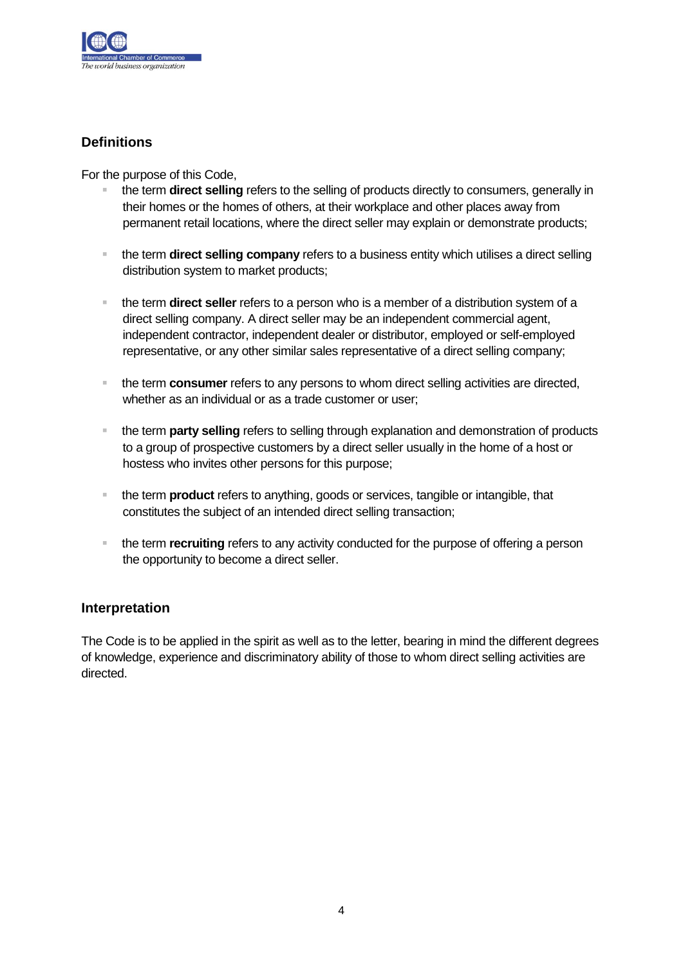

#### **Definitions**

For the purpose of this Code,

- the term **direct selling** refers to the selling of products directly to consumers, generally in their homes or the homes of others, at their workplace and other places away from permanent retail locations, where the direct seller may explain or demonstrate products;
- the term **direct selling company** refers to a business entity which utilises a direct selling distribution system to market products;
- the term **direct seller** refers to a person who is a member of a distribution system of a direct selling company. A direct seller may be an independent commercial agent, independent contractor, independent dealer or distributor, employed or self-employed representative, or any other similar sales representative of a direct selling company;
- the term **consumer** refers to any persons to whom direct selling activities are directed, whether as an individual or as a trade customer or user;
- the term **party selling** refers to selling through explanation and demonstration of products to a group of prospective customers by a direct seller usually in the home of a host or hostess who invites other persons for this purpose;
- the term **product** refers to anything, goods or services, tangible or intangible, that constitutes the subject of an intended direct selling transaction;
- the term **recruiting** refers to any activity conducted for the purpose of offering a person the opportunity to become a direct seller.

#### **Interpretation**

The Code is to be applied in the spirit as well as to the letter, bearing in mind the different degrees of knowledge, experience and discriminatory ability of those to whom direct selling activities are directed.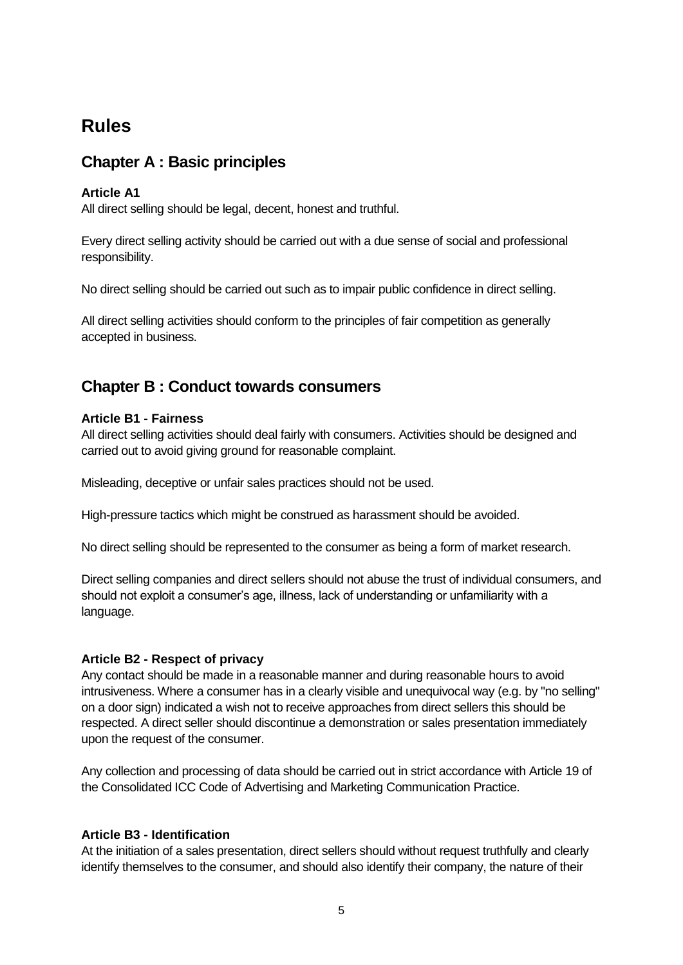# **Rules**

### **Chapter A : Basic principles**

#### **Article A1**

All direct selling should be legal, decent, honest and truthful.

Every direct selling activity should be carried out with a due sense of social and professional responsibility.

No direct selling should be carried out such as to impair public confidence in direct selling.

All direct selling activities should conform to the principles of fair competition as generally accepted in business.

# **Chapter B : Conduct towards consumers**

#### **Article B1 - Fairness**

All direct selling activities should deal fairly with consumers. Activities should be designed and carried out to avoid giving ground for reasonable complaint.

Misleading, deceptive or unfair sales practices should not be used.

High-pressure tactics which might be construed as harassment should be avoided.

No direct selling should be represented to the consumer as being a form of market research.

Direct selling companies and direct sellers should not abuse the trust of individual consumers, and should not exploit a consumer's age, illness, lack of understanding or unfamiliarity with a language.

#### **Article B2 - Respect of privacy**

Any contact should be made in a reasonable manner and during reasonable hours to avoid intrusiveness. Where a consumer has in a clearly visible and unequivocal way (e.g. by "no selling" on a door sign) indicated a wish not to receive approaches from direct sellers this should be respected. A direct seller should discontinue a demonstration or sales presentation immediately upon the request of the consumer.

Any collection and processing of data should be carried out in strict accordance with Article 19 of the Consolidated ICC Code of Advertising and Marketing Communication Practice.

#### **Article B3 - Identification**

At the initiation of a sales presentation, direct sellers should without request truthfully and clearly identify themselves to the consumer, and should also identify their company, the nature of their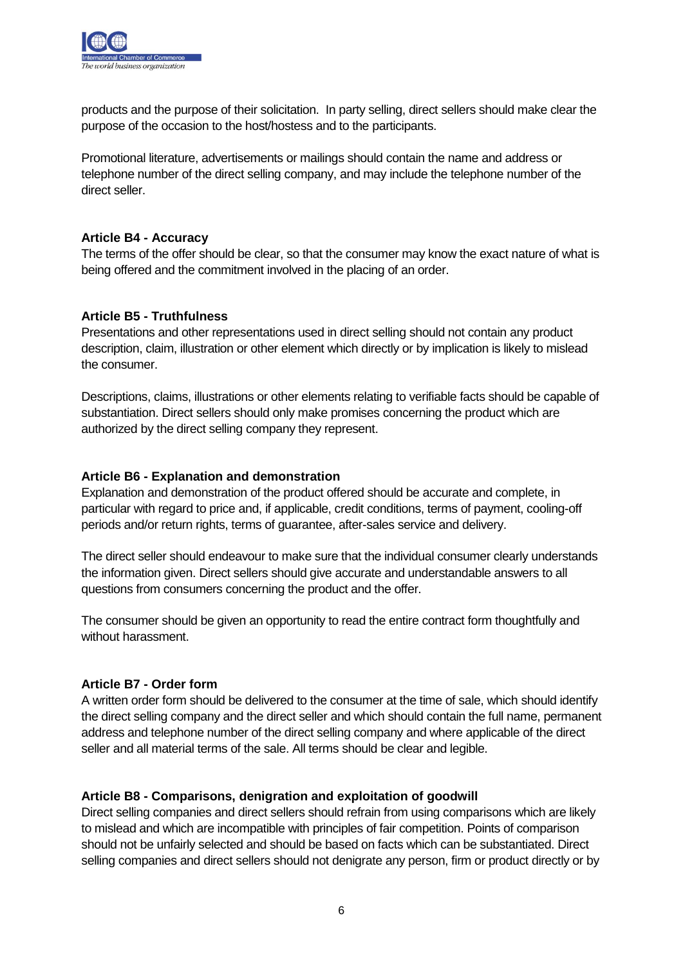

products and the purpose of their solicitation. In party selling, direct sellers should make clear the purpose of the occasion to the host/hostess and to the participants.

Promotional literature, advertisements or mailings should contain the name and address or telephone number of the direct selling company, and may include the telephone number of the direct seller.

#### **Article B4 - Accuracy**

The terms of the offer should be clear, so that the consumer may know the exact nature of what is being offered and the commitment involved in the placing of an order.

#### **Article B5 - Truthfulness**

Presentations and other representations used in direct selling should not contain any product description, claim, illustration or other element which directly or by implication is likely to mislead the consumer.

Descriptions, claims, illustrations or other elements relating to verifiable facts should be capable of substantiation. Direct sellers should only make promises concerning the product which are authorized by the direct selling company they represent.

#### **Article B6 - Explanation and demonstration**

Explanation and demonstration of the product offered should be accurate and complete, in particular with regard to price and, if applicable, credit conditions, terms of payment, cooling-off periods and/or return rights, terms of guarantee, after-sales service and delivery.

The direct seller should endeavour to make sure that the individual consumer clearly understands the information given. Direct sellers should give accurate and understandable answers to all questions from consumers concerning the product and the offer.

The consumer should be given an opportunity to read the entire contract form thoughtfully and without harassment.

#### **Article B7 - Order form**

A written order form should be delivered to the consumer at the time of sale, which should identify the direct selling company and the direct seller and which should contain the full name, permanent address and telephone number of the direct selling company and where applicable of the direct seller and all material terms of the sale. All terms should be clear and legible.

#### **Article B8 - Comparisons, denigration and exploitation of goodwill**

Direct selling companies and direct sellers should refrain from using comparisons which are likely to mislead and which are incompatible with principles of fair competition. Points of comparison should not be unfairly selected and should be based on facts which can be substantiated. Direct selling companies and direct sellers should not denigrate any person, firm or product directly or by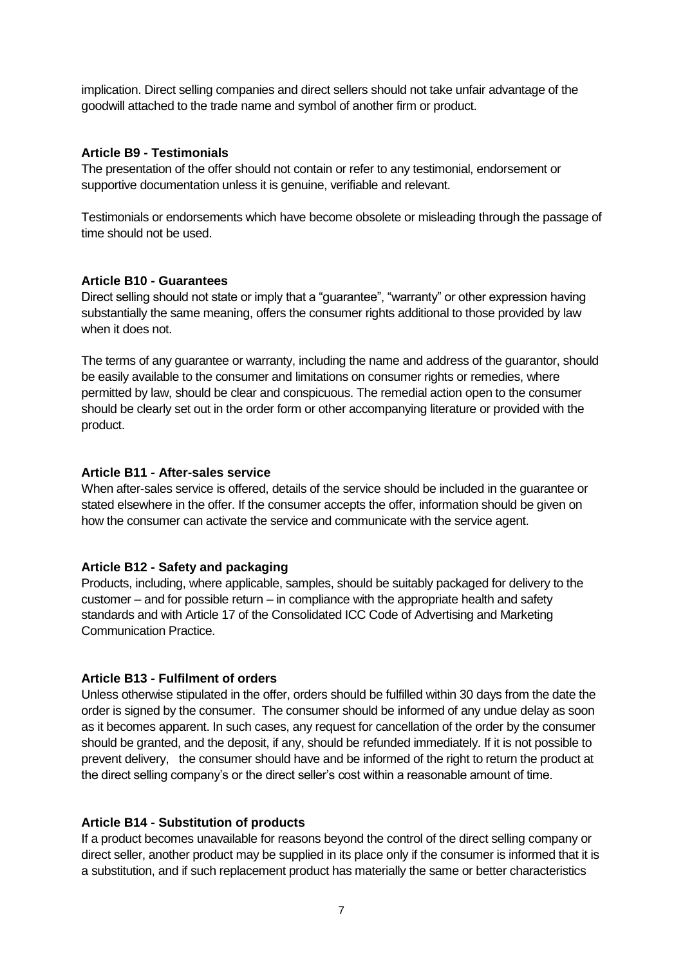implication. Direct selling companies and direct sellers should not take unfair advantage of the goodwill attached to the trade name and symbol of another firm or product.

#### **Article B9 - Testimonials**

The presentation of the offer should not contain or refer to any testimonial, endorsement or supportive documentation unless it is genuine, verifiable and relevant.

Testimonials or endorsements which have become obsolete or misleading through the passage of time should not be used.

#### **Article B10 - Guarantees**

Direct selling should not state or imply that a "guarantee", "warranty" or other expression having substantially the same meaning, offers the consumer rights additional to those provided by law when it does not.

The terms of any guarantee or warranty, including the name and address of the guarantor, should be easily available to the consumer and limitations on consumer rights or remedies, where permitted by law, should be clear and conspicuous. The remedial action open to the consumer should be clearly set out in the order form or other accompanying literature or provided with the product.

#### **Article B11 - After-sales service**

When after-sales service is offered, details of the service should be included in the guarantee or stated elsewhere in the offer. If the consumer accepts the offer, information should be given on how the consumer can activate the service and communicate with the service agent.

#### **Article B12 - Safety and packaging**

Products, including, where applicable, samples, should be suitably packaged for delivery to the customer – and for possible return – in compliance with the appropriate health and safety standards and with Article 17 of the Consolidated ICC Code of Advertising and Marketing Communication Practice.

#### **Article B13 - Fulfilment of orders**

Unless otherwise stipulated in the offer, orders should be fulfilled within 30 days from the date the order is signed by the consumer. The consumer should be informed of any undue delay as soon as it becomes apparent. In such cases, any request for cancellation of the order by the consumer should be granted, and the deposit, if any, should be refunded immediately. If it is not possible to prevent delivery, the consumer should have and be informed of the right to return the product at the direct selling company's or the direct seller's cost within a reasonable amount of time.

#### **Article B14 - Substitution of products**

If a product becomes unavailable for reasons beyond the control of the direct selling company or direct seller, another product may be supplied in its place only if the consumer is informed that it is a substitution, and if such replacement product has materially the same or better characteristics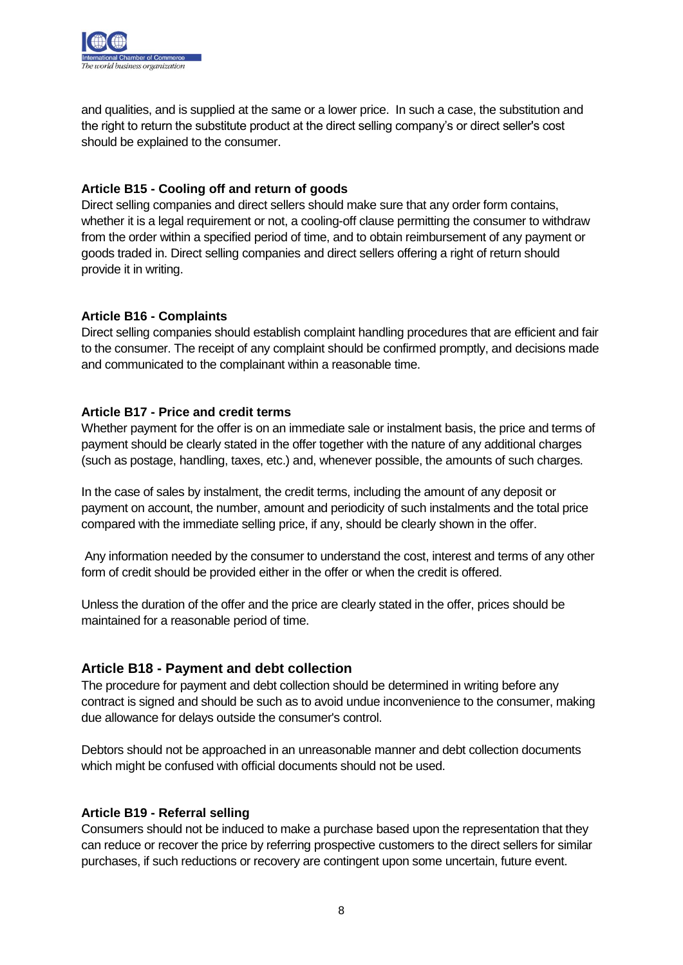

and qualities, and is supplied at the same or a lower price. In such a case, the substitution and the right to return the substitute product at the direct selling company's or direct seller's cost should be explained to the consumer.

#### **Article B15 - Cooling off and return of goods**

Direct selling companies and direct sellers should make sure that any order form contains, whether it is a legal requirement or not, a cooling-off clause permitting the consumer to withdraw from the order within a specified period of time, and to obtain reimbursement of any payment or goods traded in. Direct selling companies and direct sellers offering a right of return should provide it in writing.

#### **Article B16 - Complaints**

Direct selling companies should establish complaint handling procedures that are efficient and fair to the consumer. The receipt of any complaint should be confirmed promptly, and decisions made and communicated to the complainant within a reasonable time.

#### **Article B17 - Price and credit terms**

Whether payment for the offer is on an immediate sale or instalment basis, the price and terms of payment should be clearly stated in the offer together with the nature of any additional charges (such as postage, handling, taxes, etc.) and, whenever possible, the amounts of such charges.

In the case of sales by instalment, the credit terms, including the amount of any deposit or payment on account, the number, amount and periodicity of such instalments and the total price compared with the immediate selling price, if any, should be clearly shown in the offer.

Any information needed by the consumer to understand the cost, interest and terms of any other form of credit should be provided either in the offer or when the credit is offered.

Unless the duration of the offer and the price are clearly stated in the offer, prices should be maintained for a reasonable period of time.

#### **Article B18 - Payment and debt collection**

The procedure for payment and debt collection should be determined in writing before any contract is signed and should be such as to avoid undue inconvenience to the consumer, making due allowance for delays outside the consumer's control.

Debtors should not be approached in an unreasonable manner and debt collection documents which might be confused with official documents should not be used.

#### **Article B19 - Referral selling**

Consumers should not be induced to make a purchase based upon the representation that they can reduce or recover the price by referring prospective customers to the direct sellers for similar purchases, if such reductions or recovery are contingent upon some uncertain, future event.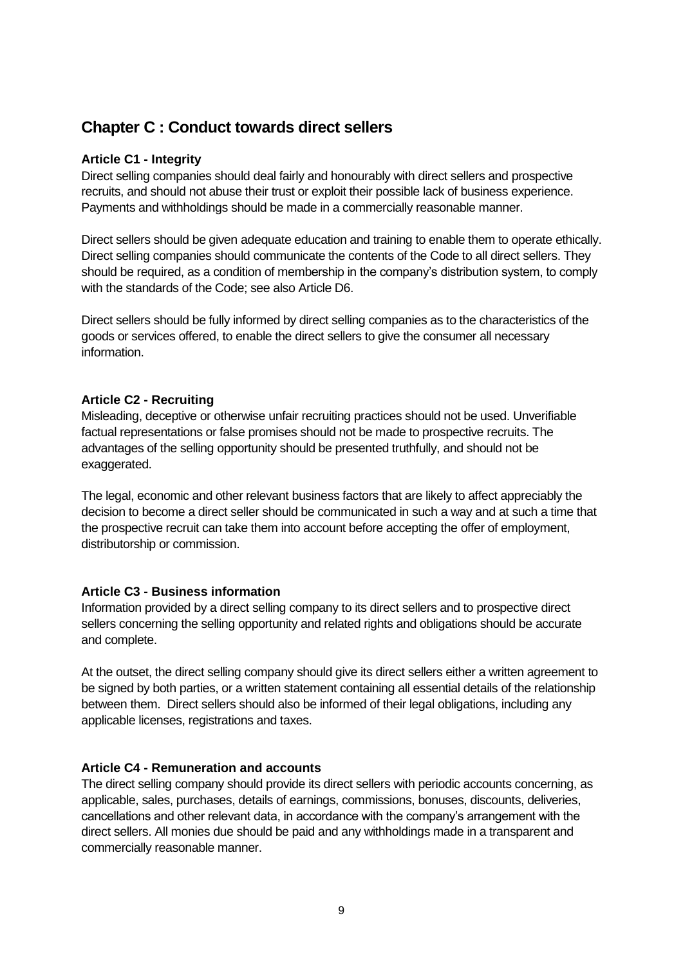# **Chapter C : Conduct towards direct sellers**

#### **Article C1 - Integrity**

Direct selling companies should deal fairly and honourably with direct sellers and prospective recruits, and should not abuse their trust or exploit their possible lack of business experience. Payments and withholdings should be made in a commercially reasonable manner.

Direct sellers should be given adequate education and training to enable them to operate ethically. Direct selling companies should communicate the contents of the Code to all direct sellers. They should be required, as a condition of membership in the company's distribution system, to comply with the standards of the Code; see also Article D6.

Direct sellers should be fully informed by direct selling companies as to the characteristics of the goods or services offered, to enable the direct sellers to give the consumer all necessary information.

#### **Article C2 - Recruiting**

Misleading, deceptive or otherwise unfair recruiting practices should not be used. Unverifiable factual representations or false promises should not be made to prospective recruits. The advantages of the selling opportunity should be presented truthfully, and should not be exaggerated.

The legal, economic and other relevant business factors that are likely to affect appreciably the decision to become a direct seller should be communicated in such a way and at such a time that the prospective recruit can take them into account before accepting the offer of employment, distributorship or commission.

#### **Article C3 - Business information**

Information provided by a direct selling company to its direct sellers and to prospective direct sellers concerning the selling opportunity and related rights and obligations should be accurate and complete.

At the outset, the direct selling company should give its direct sellers either a written agreement to be signed by both parties, or a written statement containing all essential details of the relationship between them. Direct sellers should also be informed of their legal obligations, including any applicable licenses, registrations and taxes.

#### **Article C4 - Remuneration and accounts**

The direct selling company should provide its direct sellers with periodic accounts concerning, as applicable, sales, purchases, details of earnings, commissions, bonuses, discounts, deliveries, cancellations and other relevant data, in accordance with the company's arrangement with the direct sellers. All monies due should be paid and any withholdings made in a transparent and commercially reasonable manner.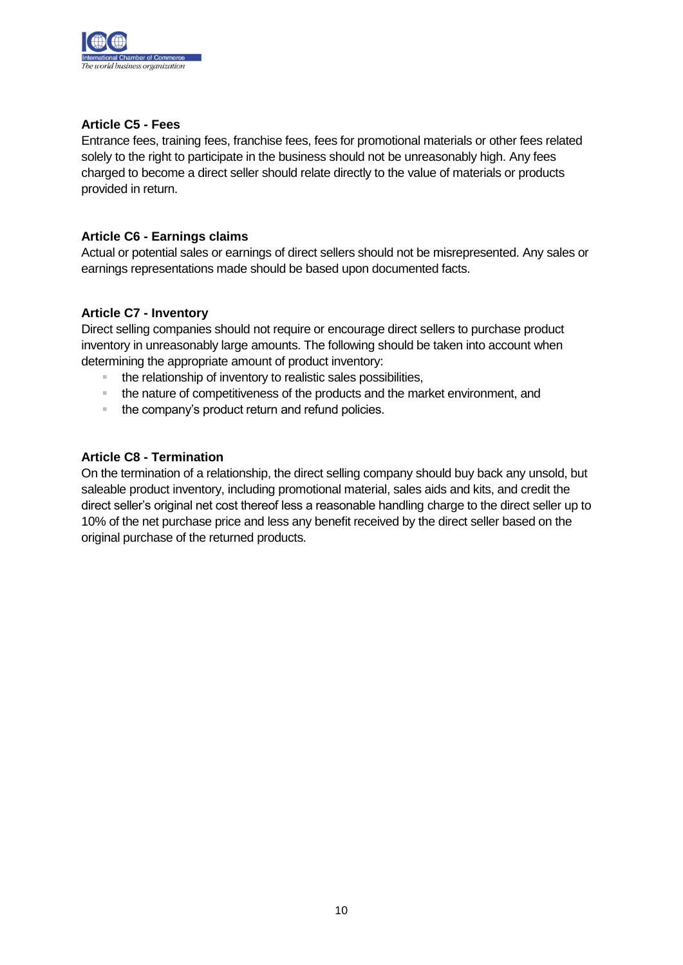

#### **Article C5 - Fees**

Entrance fees, training fees, franchise fees, fees for promotional materials or other fees related solely to the right to participate in the business should not be unreasonably high. Any fees charged to become a direct seller should relate directly to the value of materials or products provided in return.

#### **Article C6 - Earnings claims**

Actual or potential sales or earnings of direct sellers should not be misrepresented. Any sales or earnings representations made should be based upon documented facts.

#### **Article C7 - Inventory**

Direct selling companies should not require or encourage direct sellers to purchase product inventory in unreasonably large amounts. The following should be taken into account when determining the appropriate amount of product inventory:

- the relationship of inventory to realistic sales possibilities,
- the nature of competitiveness of the products and the market environment, and
- the company's product return and refund policies.

#### **Article C8 - Termination**

On the termination of a relationship, the direct selling company should buy back any unsold, but saleable product inventory, including promotional material, sales aids and kits, and credit the direct seller's original net cost thereof less a reasonable handling charge to the direct seller up to 10% of the net purchase price and less any benefit received by the direct seller based on the original purchase of the returned products.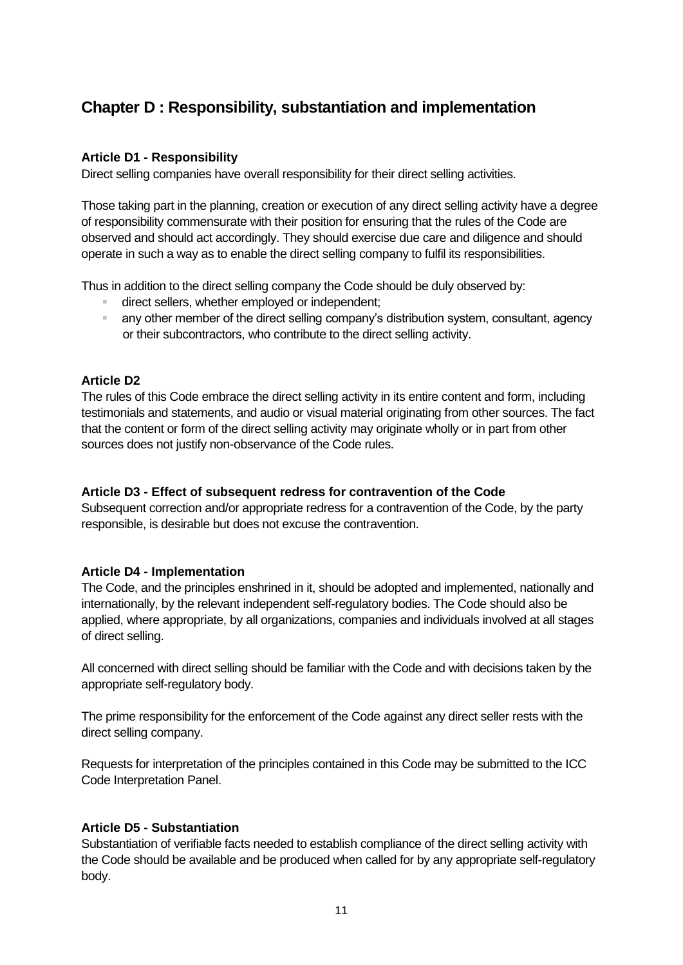# **Chapter D : Responsibility, substantiation and implementation**

#### **Article D1 - Responsibility**

Direct selling companies have overall responsibility for their direct selling activities.

Those taking part in the planning, creation or execution of any direct selling activity have a degree of responsibility commensurate with their position for ensuring that the rules of the Code are observed and should act accordingly. They should exercise due care and diligence and should operate in such a way as to enable the direct selling company to fulfil its responsibilities.

Thus in addition to the direct selling company the Code should be duly observed by:

- direct sellers, whether employed or independent;
- any other member of the direct selling company's distribution system, consultant, agency or their subcontractors, who contribute to the direct selling activity.

#### **Article D2**

The rules of this Code embrace the direct selling activity in its entire content and form, including testimonials and statements, and audio or visual material originating from other sources. The fact that the content or form of the direct selling activity may originate wholly or in part from other sources does not justify non-observance of the Code rules.

#### **Article D3 - Effect of subsequent redress for contravention of the Code**

Subsequent correction and/or appropriate redress for a contravention of the Code, by the party responsible, is desirable but does not excuse the contravention.

#### **Article D4 - Implementation**

The Code, and the principles enshrined in it, should be adopted and implemented, nationally and internationally, by the relevant independent self-regulatory bodies. The Code should also be applied, where appropriate, by all organizations, companies and individuals involved at all stages of direct selling.

All concerned with direct selling should be familiar with the Code and with decisions taken by the appropriate self-regulatory body.

The prime responsibility for the enforcement of the Code against any direct seller rests with the direct selling company.

Requests for interpretation of the principles contained in this Code may be submitted to the ICC Code Interpretation Panel.

#### **Article D5 - Substantiation**

Substantiation of verifiable facts needed to establish compliance of the direct selling activity with the Code should be available and be produced when called for by any appropriate self-regulatory body.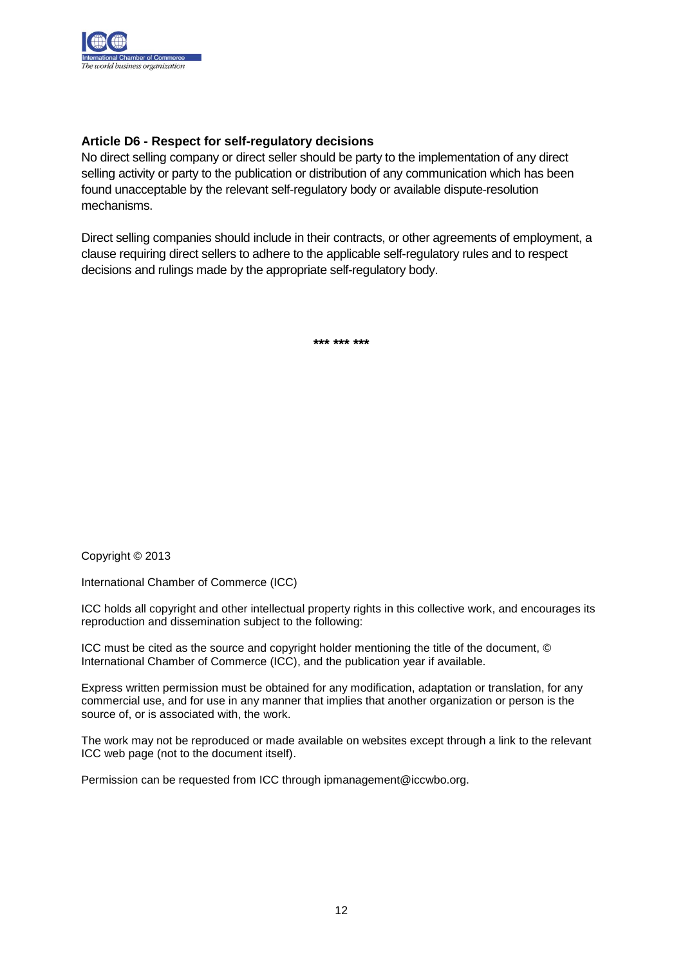

#### **Article D6 - Respect for self-regulatory decisions**

No direct selling company or direct seller should be party to the implementation of any direct selling activity or party to the publication or distribution of any communication which has been found unacceptable by the relevant self-regulatory body or available dispute-resolution mechanisms.

Direct selling companies should include in their contracts, or other agreements of employment, a clause requiring direct sellers to adhere to the applicable self-regulatory rules and to respect decisions and rulings made by the appropriate self-regulatory body.

**\*\*\* \*\*\* \*\*\***

Copyright © 2013

International Chamber of Commerce (ICC)

ICC holds all copyright and other intellectual property rights in this collective work, and encourages its reproduction and dissemination subject to the following:

ICC must be cited as the source and copyright holder mentioning the title of the document, © International Chamber of Commerce (ICC), and the publication year if available.

Express written permission must be obtained for any modification, adaptation or translation, for any commercial use, and for use in any manner that implies that another organization or person is the source of, or is associated with, the work.

The work may not be reproduced or made available on websites except through a link to the relevant ICC web page (not to the document itself).

Permission can be requested from ICC through ipmanagement@iccwbo.org.